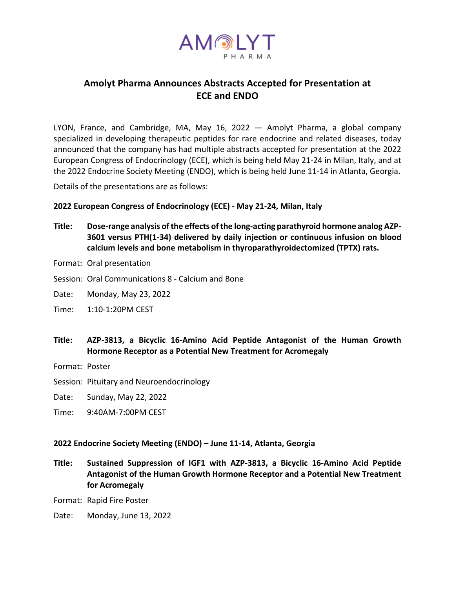

# **Amolyt Pharma Announces Abstracts Accepted for Presentation at ECE and ENDO**

LYON, France, and Cambridge, MA, May 16, 2022 — Amolyt Pharma, a global company specialized in developing therapeutic peptides for rare endocrine and related diseases, today announced that the company has had multiple abstracts accepted for presentation at the 2022 European Congress of Endocrinology (ECE), which is being held May 21-24 in Milan, Italy, and at the 2022 Endocrine Society Meeting (ENDO), which is being held June 11-14 in Atlanta, Georgia.

Details of the presentations are as follows:

# **2022 European Congress of Endocrinology (ECE) - May 21-24, Milan, Italy**

- **Title: Dose-range analysis of the effects of the long-acting parathyroid hormone analog AZP-3601 versus PTH(1-34) delivered by daily injection or continuous infusion on blood calcium levels and bone metabolism in thyroparathyroidectomized (TPTX) rats.**
- Format: Oral presentation
- Session: Oral Communications 8 Calcium and Bone
- Date: Monday, May 23, 2022
- Time: 1:10-1:20PM CEST
- **Title: AZP-3813, a Bicyclic 16-Amino Acid Peptide Antagonist of the Human Growth Hormone Receptor as a Potential New Treatment for Acromegaly**
- Format: Poster
- Session: Pituitary and Neuroendocrinology
- Date: Sunday, May 22, 2022
- Time: 9:40AM-7:00PM CEST

#### **2022 Endocrine Society Meeting (ENDO) – June 11-14, Atlanta, Georgia**

**Title: Sustained Suppression of IGF1 with AZP-3813, a Bicyclic 16-Amino Acid Peptide Antagonist of the Human Growth Hormone Receptor and a Potential New Treatment for Acromegaly**

Format: Rapid Fire Poster

Date: Monday, June 13, 2022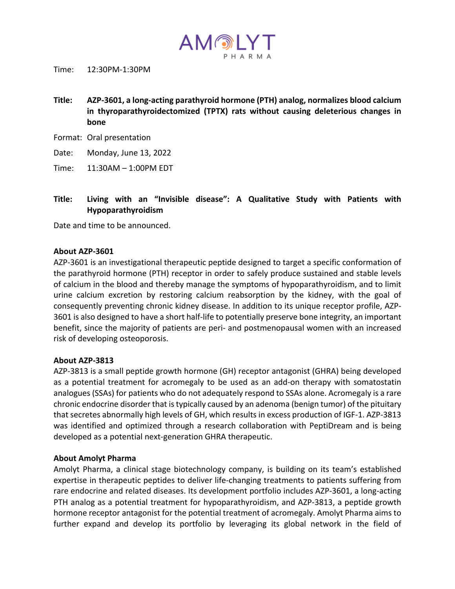

Time: 12:30PM-1:30PM

- **Title: AZP-3601, a long-acting parathyroid hormone (PTH) analog, normalizes blood calcium in thyroparathyroidectomized (TPTX) rats without causing deleterious changes in bone**
- Format: Oral presentation

Date: Monday, June 13, 2022

Time: 11:30AM – 1:00PM EDT

**Title: Living with an "Invisible disease": A Qualitative Study with Patients with Hypoparathyroidism**

Date and time to be announced.

#### **About AZP-3601**

AZP-3601 is an investigational therapeutic peptide designed to target a specific conformation of the parathyroid hormone (PTH) receptor in order to safely produce sustained and stable levels of calcium in the blood and thereby manage the symptoms of hypoparathyroidism, and to limit urine calcium excretion by restoring calcium reabsorption by the kidney, with the goal of consequently preventing chronic kidney disease. In addition to its unique receptor profile, AZP-3601 is also designed to have a short half-life to potentially preserve bone integrity, an important benefit, since the majority of patients are peri- and postmenopausal women with an increased risk of developing osteoporosis.

#### **About AZP-3813**

AZP-3813 is a small peptide growth hormone (GH) receptor antagonist (GHRA) being developed as a potential treatment for acromegaly to be used as an add-on therapy with somatostatin analogues (SSAs) for patients who do not adequately respond to SSAs alone. Acromegaly is a rare chronic endocrine disorder that is typically caused by an adenoma (benign tumor) of the pituitary that secretes abnormally high levels of GH, which results in excess production of IGF-1. AZP-3813 was identified and optimized through a research collaboration with PeptiDream and is being developed as a potential next-generation GHRA therapeutic.

# **About Amolyt Pharma**

Amolyt Pharma, a clinical stage biotechnology company, is building on its team's established expertise in therapeutic peptides to deliver life-changing treatments to patients suffering from rare endocrine and related diseases. Its development portfolio includes AZP-3601, a long-acting PTH analog as a potential treatment for hypoparathyroidism, and AZP-3813, a peptide growth hormone receptor antagonist for the potential treatment of acromegaly. Amolyt Pharma aims to further expand and develop its portfolio by leveraging its global network in the field of